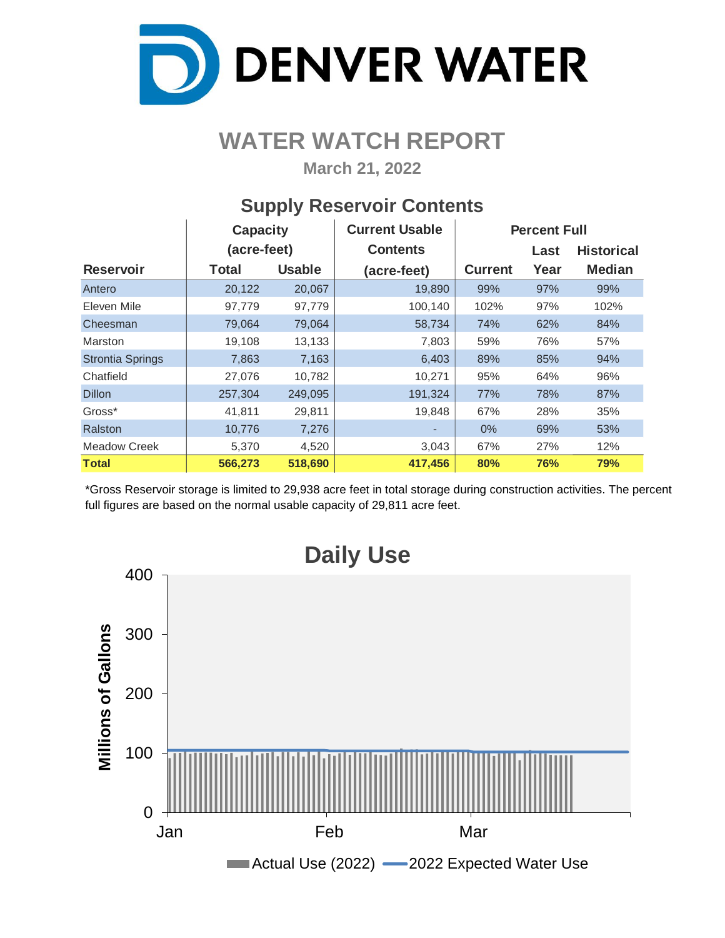

## **WATER WATCH REPORT**

**March 21, 2022**

### **Supply Reservoir Contents**

|                         | <b>Capacity</b> |               | <b>Current Usable</b> | <b>Percent Full</b> |      |                   |  |  |  |
|-------------------------|-----------------|---------------|-----------------------|---------------------|------|-------------------|--|--|--|
|                         | (acre-feet)     |               | <b>Contents</b>       |                     | Last | <b>Historical</b> |  |  |  |
| <b>Reservoir</b>        | <b>Total</b>    | <b>Usable</b> | (acre-feet)           | <b>Current</b>      | Year | <b>Median</b>     |  |  |  |
| Antero                  | 20,122          | 20,067        | 19,890                | 99%                 | 97%  | 99%               |  |  |  |
| Eleven Mile             | 97,779          | 97,779        | 100,140               | 102%                | 97%  | 102%              |  |  |  |
| Cheesman                | 79,064          | 79,064        | 58,734                | 74%                 | 62%  | 84%               |  |  |  |
| Marston                 | 19,108          | 13,133        | 7,803                 | 59%                 | 76%  | 57%               |  |  |  |
| <b>Strontia Springs</b> | 7,863           | 7,163         | 6,403                 | 89%                 | 85%  | 94%               |  |  |  |
| Chatfield               | 27,076          | 10,782        | 10,271                | 95%                 | 64%  | 96%               |  |  |  |
| <b>Dillon</b>           | 257,304         | 249,095       | 191,324               | 77%                 | 78%  | 87%               |  |  |  |
| Gross*                  | 41,811          | 29,811        | 19,848                | 67%                 | 28%  | 35%               |  |  |  |
| Ralston                 | 10,776          | 7,276         |                       | $0\%$               | 69%  | 53%               |  |  |  |
| Meadow Creek            | 5,370           | 4,520         | 3,043                 | 67%                 | 27%  | 12%               |  |  |  |
| Total                   | 566,273         | 518,690       | 417,456               | 80%                 | 76%  | 79%               |  |  |  |

\*Gross Reservoir storage is limited to 29,938 acre feet in total storage during construction activities. The percent full figures are based on the normal usable capacity of 29,811 acre feet.

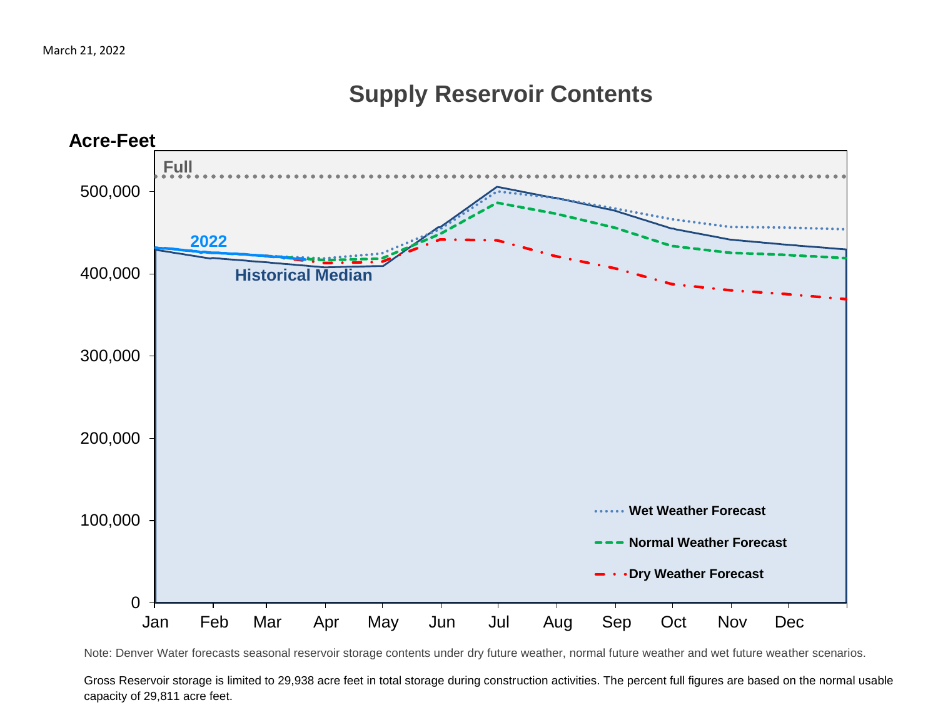### **Supply Reservoir Contents**



Note: Denver Water forecasts seasonal reservoir storage contents under dry future weather, normal future weather and wet future weather scenarios.

Gross Reservoir storage is limited to 29,938 acre feet in total storage during construction activities. The percent full figures are based on the normal usable capacity of 29,811 acre feet.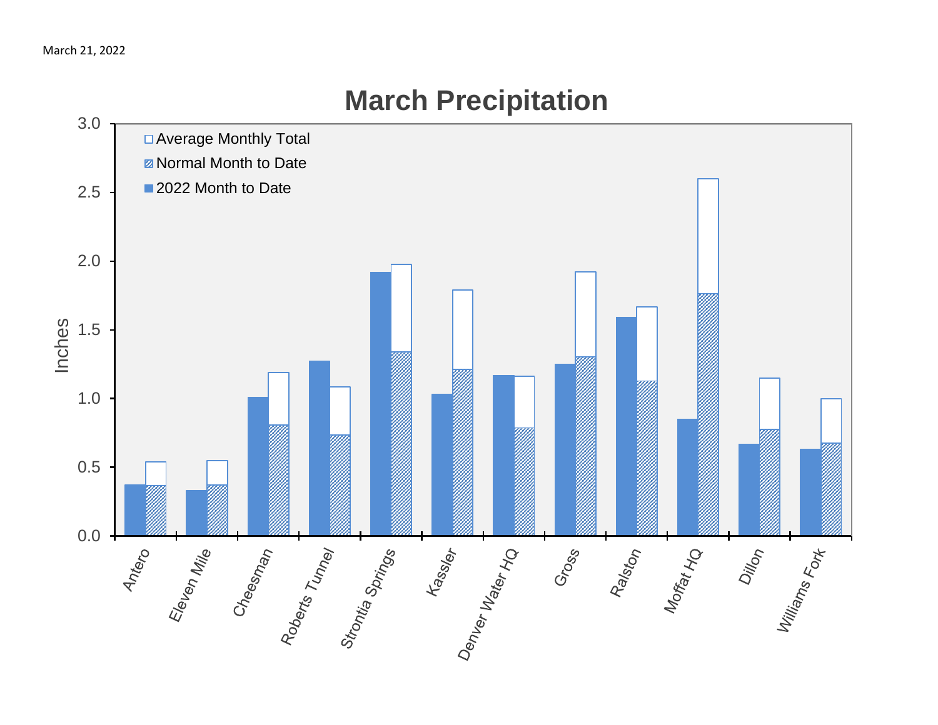# 3.0 □ Average Monthly Total **Z** Normal Month to Date ■ 2022 Month to Date 2.5 2.0 Inches 1.5 1.0 0.5 ss sex fassier der Mater Ho  $rac{2}{3}$ <br>0.0 + Eleven Mile<br>Cheesnan<br>Poberts Tunney<br>Stontia Springs Ralston<br>Moffat Ho Dillon<br>Williams<br><sup>Terns Fort</sup> Gross

# **March Precipitation**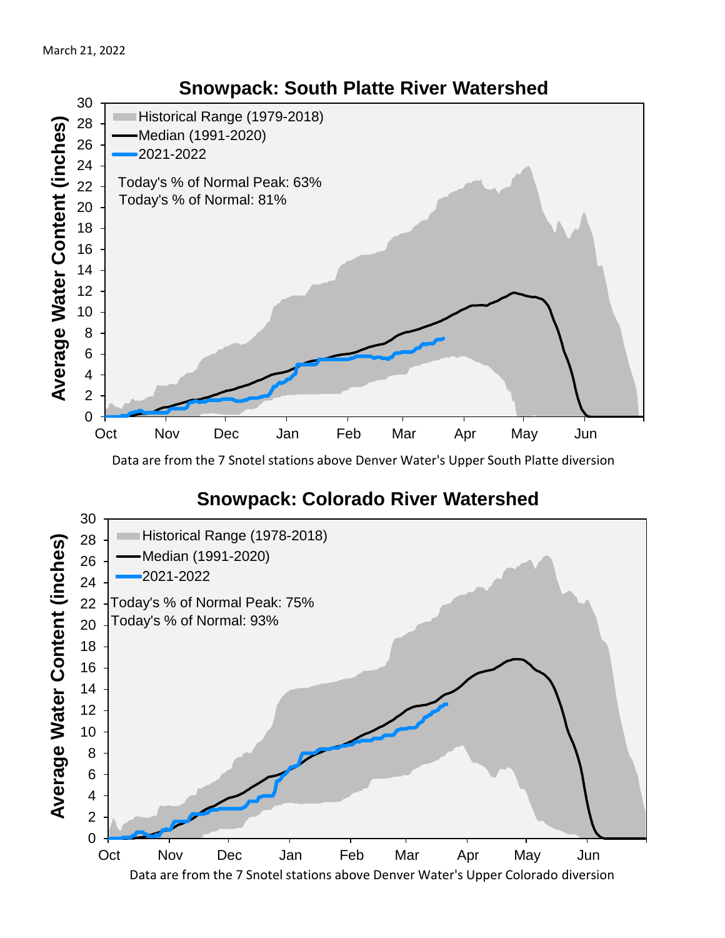

Data are from the 7 Snotel stations above Denver Water's Upper South Platte diversion

### **Snowpack: Colorado River Watershed**

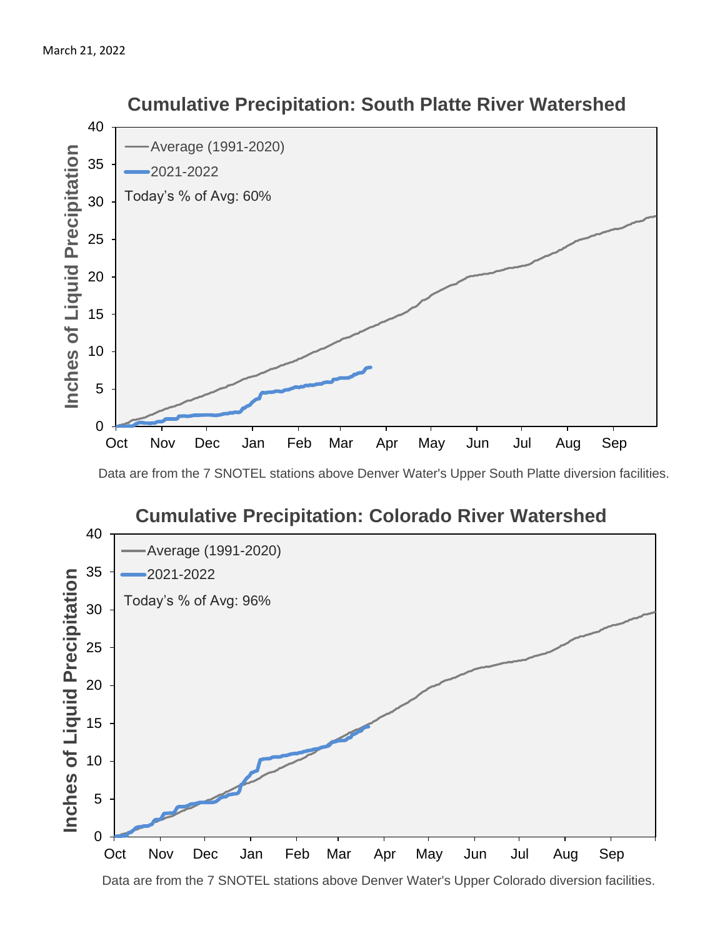

 **Cumulative Precipitation: South Platte River Watershed**

Data are from the 7 SNOTEL stations above Denver Water's Upper South Platte diversion facilities.



Data are from the 7 SNOTEL stations above Denver Water's Upper Colorado diversion facilities.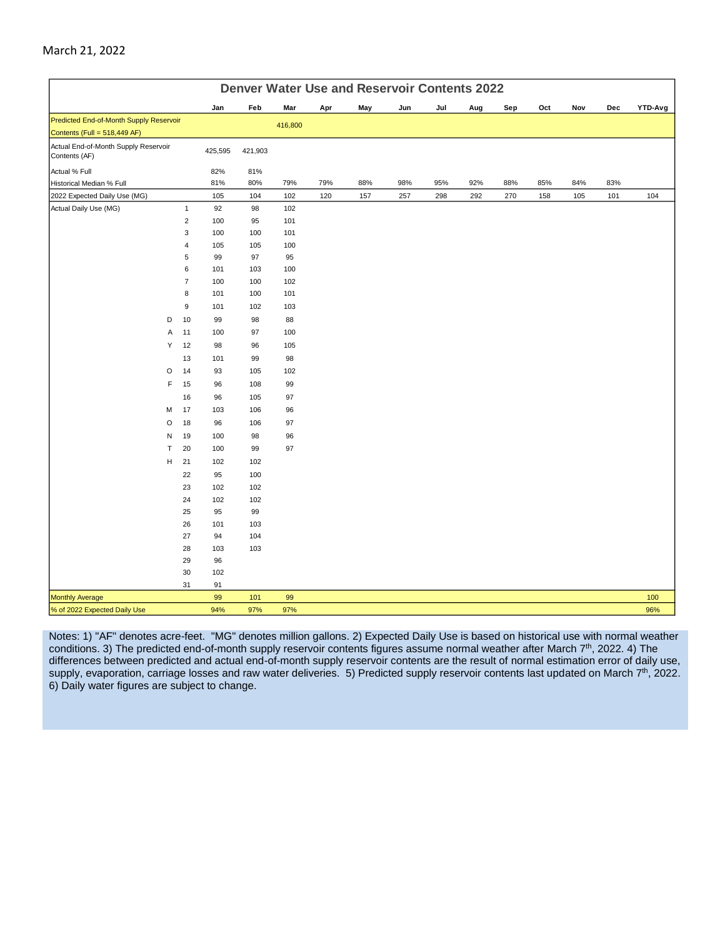|                                                                         | <b>Denver Water Use and Reservoir Contents 2022</b> |                |         |         |         |     |     |     |     |     |     |     |     |     |         |
|-------------------------------------------------------------------------|-----------------------------------------------------|----------------|---------|---------|---------|-----|-----|-----|-----|-----|-----|-----|-----|-----|---------|
|                                                                         |                                                     |                | Jan     | Feb     | Mar     | Apr | May | Jun | Jul | Aug | Sep | Oct | Nov | Dec | YTD-Avg |
| Predicted End-of-Month Supply Reservoir<br>Contents (Full = 518,449 AF) |                                                     |                |         |         | 416,800 |     |     |     |     |     |     |     |     |     |         |
| Actual End-of-Month Supply Reservoir<br>Contents (AF)                   |                                                     |                | 425,595 | 421,903 |         |     |     |     |     |     |     |     |     |     |         |
| Actual % Full                                                           |                                                     |                | 82%     | 81%     |         |     |     |     |     |     |     |     |     |     |         |
| Historical Median % Full                                                |                                                     |                | 81%     | 80%     | 79%     | 79% | 88% | 98% | 95% | 92% | 88% | 85% | 84% | 83% |         |
| 2022 Expected Daily Use (MG)                                            |                                                     |                | 105     | 104     | 102     | 120 | 157 | 257 | 298 | 292 | 270 | 158 | 105 | 101 | 104     |
| Actual Daily Use (MG)                                                   |                                                     | $\mathbf{1}$   | 92      | 98      | 102     |     |     |     |     |     |     |     |     |     |         |
|                                                                         |                                                     | $\overline{2}$ | 100     | 95      | 101     |     |     |     |     |     |     |     |     |     |         |
|                                                                         |                                                     | 3              | 100     | 100     | 101     |     |     |     |     |     |     |     |     |     |         |
|                                                                         |                                                     | $\pmb{4}$      | 105     | 105     | 100     |     |     |     |     |     |     |     |     |     |         |
|                                                                         |                                                     | 5              | 99      | 97      | 95      |     |     |     |     |     |     |     |     |     |         |
|                                                                         |                                                     | 6              | 101     | 103     | 100     |     |     |     |     |     |     |     |     |     |         |
|                                                                         |                                                     | $\overline{7}$ | 100     | 100     | 102     |     |     |     |     |     |     |     |     |     |         |
|                                                                         |                                                     | 8              | 101     | 100     | 101     |     |     |     |     |     |     |     |     |     |         |
|                                                                         |                                                     | 9              | 101     | 102     | 103     |     |     |     |     |     |     |     |     |     |         |
|                                                                         | D                                                   | 10             | 99      | 98      | 88      |     |     |     |     |     |     |     |     |     |         |
|                                                                         | Α                                                   | 11             | 100     | 97      | 100     |     |     |     |     |     |     |     |     |     |         |
|                                                                         | Υ                                                   | 12             | 98      | 96      | 105     |     |     |     |     |     |     |     |     |     |         |
|                                                                         |                                                     | 13             | 101     | 99      | 98      |     |     |     |     |     |     |     |     |     |         |
|                                                                         | $\circ$                                             | 14             | 93      | 105     | 102     |     |     |     |     |     |     |     |     |     |         |
|                                                                         | F                                                   | 15             | 96      | 108     | 99      |     |     |     |     |     |     |     |     |     |         |
|                                                                         |                                                     | 16             | 96      | 105     | 97      |     |     |     |     |     |     |     |     |     |         |
|                                                                         | M                                                   | 17             | 103     | 106     | 96      |     |     |     |     |     |     |     |     |     |         |
|                                                                         | O                                                   | 18             | 96      | 106     | 97      |     |     |     |     |     |     |     |     |     |         |
|                                                                         | N                                                   | 19             | 100     | 98      | 96      |     |     |     |     |     |     |     |     |     |         |
|                                                                         | $\mathsf{T}$                                        | 20             | 100     | 99      | 97      |     |     |     |     |     |     |     |     |     |         |
|                                                                         | н                                                   | 21             | 102     | 102     |         |     |     |     |     |     |     |     |     |     |         |
|                                                                         |                                                     | 22             | 95      | 100     |         |     |     |     |     |     |     |     |     |     |         |
|                                                                         |                                                     | 23             | 102     | 102     |         |     |     |     |     |     |     |     |     |     |         |
|                                                                         |                                                     | 24             | 102     | 102     |         |     |     |     |     |     |     |     |     |     |         |
|                                                                         |                                                     | 25             | 95      | 99      |         |     |     |     |     |     |     |     |     |     |         |
|                                                                         |                                                     | 26             | 101     | 103     |         |     |     |     |     |     |     |     |     |     |         |
|                                                                         |                                                     | 27             | 94      | 104     |         |     |     |     |     |     |     |     |     |     |         |
|                                                                         |                                                     | 28             | 103     | 103     |         |     |     |     |     |     |     |     |     |     |         |
|                                                                         |                                                     | 29             | 96      |         |         |     |     |     |     |     |     |     |     |     |         |
|                                                                         |                                                     | 30             | 102     |         |         |     |     |     |     |     |     |     |     |     |         |
|                                                                         |                                                     | 31             | 91      |         |         |     |     |     |     |     |     |     |     |     |         |
| <b>Monthly Average</b>                                                  |                                                     |                | 99      | 101     | 99      |     |     |     |     |     |     |     |     |     | 100     |
| % of 2022 Expected Daily Use                                            |                                                     |                | 94%     | 97%     | 97%     |     |     |     |     |     |     |     |     |     | 96%     |

March 21, 2022

Notes: 1) "AF" denotes acre-feet. "MG" denotes million gallons. 2) Expected Daily Use is based on historical use with normal weather conditions. 3) The predicted end-of-month supply reservoir contents figures assume normal weather after March 7<sup>th</sup>, 2022. 4) The differences between predicted and actual end-of-month supply reservoir contents are the result of normal estimation error of daily use, supply, evaporation, carriage losses and raw water deliveries. 5) Predicted supply reservoir contents last updated on March  $7<sup>th</sup>$ , 2022. 6) Daily water figures are subject to change.